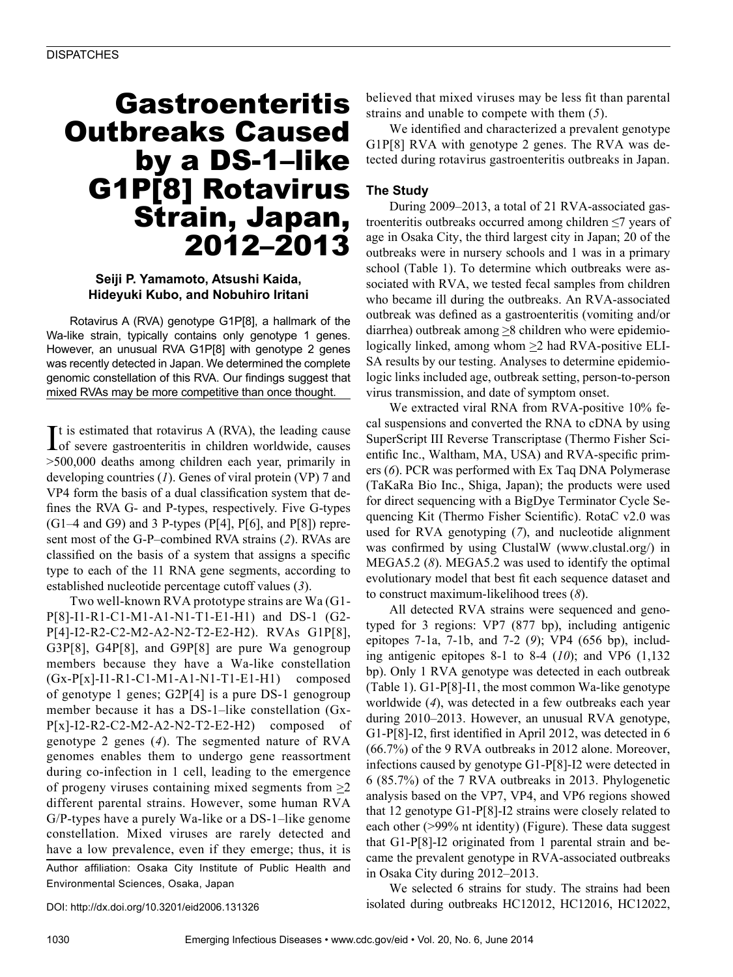# Gastroenteritis Outbreaks Caused by a DS-1–like G1P[8] Rotavirus Strain, Japan, 2012–2013

## **Seiji P. Yamamoto, Atsushi Kaida, Hideyuki Kubo, and Nobuhiro Iritani**

Rotavirus A (RVA) genotype G1P[8], a hallmark of the Wa-like strain, typically contains only genotype 1 genes. However, an unusual RVA G1P[8] with genotype 2 genes was recently detected in Japan. We determined the complete genomic constellation of this RVA. Our findings suggest that mixed RVAs may be more competitive than once thought.

It is estimated that rotavirus A (RVA), the leading cause<br>of severe gastroenteritis in children worldwide, causes  $\blacksquare$  t is estimated that rotavirus A (RVA), the leading cause >500,000 deaths among children each year, primarily in developing countries (*1*). Genes of viral protein (VP) 7 and VP4 form the basis of a dual classification system that defines the RVA G- and P-types, respectively. Five G-types  $(G1-4$  and G9) and 3 P-types  $(P[4], P[6],$  and  $P[8])$  represent most of the G-P–combined RVA strains (*2*). RVAs are classified on the basis of a system that assigns a specific type to each of the 11 RNA gene segments, according to established nucleotide percentage cutoff values (*3*).

Two well-known RVA prototype strains are Wa (G1- P[8]-I1-R1-C1-M1-A1-N1-T1-E1-H1) and DS-1 (G2- P[4]-I2-R2-C2-M2-A2-N2-T2-E2-H2). RVAs G1P[8], G3P[8], G4P[8], and G9P[8] are pure Wa genogroup members because they have a Wa-like constellation (Gx-P[x]-I1-R1-C1-M1-A1-N1-T1-E1-H1) composed of genotype 1 genes; G2P[4] is a pure DS-1 genogroup member because it has a DS-1–like constellation (Gx- $P[x]$ -I2-R2-C2-M2-A2-N2-T2-E2-H2) composed of genotype 2 genes (*4*). The segmented nature of RVA genomes enables them to undergo gene reassortment during co-infection in 1 cell, leading to the emergence of progeny viruses containing mixed segments from  $\geq 2$ different parental strains. However, some human RVA G/P-types have a purely Wa-like or a DS-1–like genome constellation. Mixed viruses are rarely detected and have a low prevalence, even if they emerge; thus, it is

Author affiliation: Osaka City Institute of Public Health and Environmental Sciences, Osaka, Japan

DOI: http://dx.doi.org/10.3201/eid2006.131326

believed that mixed viruses may be less fit than parental strains and unable to compete with them (*5*).

We identified and characterized a prevalent genotype G1P[8] RVA with genotype 2 genes. The RVA was detected during rotavirus gastroenteritis outbreaks in Japan.

# **The Study**

During 2009–2013, a total of 21 RVA-associated gastroenteritis outbreaks occurred among children ≤7 years of age in Osaka City, the third largest city in Japan; 20 of the outbreaks were in nursery schools and 1 was in a primary school (Table 1). To determine which outbreaks were associated with RVA, we tested fecal samples from children who became ill during the outbreaks. An RVA-associated outbreak was defined as a gastroenteritis (vomiting and/or diarrhea) outbreak among >8 children who were epidemiologically linked, among whom  $\geq$  had RVA-positive ELI-SA results by our testing. Analyses to determine epidemiologic links included age, outbreak setting, person-to-person virus transmission, and date of symptom onset.

We extracted viral RNA from RVA-positive 10% fecal suspensions and converted the RNA to cDNA by using SuperScript III Reverse Transcriptase (Thermo Fisher Scientific Inc., Waltham, MA, USA) and RVA-specific primers (*6*). PCR was performed with Ex Taq DNA Polymerase (TaKaRa Bio Inc., Shiga, Japan); the products were used for direct sequencing with a BigDye Terminator Cycle Sequencing Kit (Thermo Fisher Scientific). RotaC v2.0 was used for RVA genotyping (*7*), and nucleotide alignment was confirmed by using ClustalW (www.clustal.org/) in MEGA5.2 (*8*). MEGA5.2 was used to identify the optimal evolutionary model that best fit each sequence dataset and to construct maximum-likelihood trees (*8*).

All detected RVA strains were sequenced and genotyped for 3 regions: VP7 (877 bp), including antigenic epitopes 7-1a, 7-1b, and 7-2 (*9*); VP4 (656 bp), including antigenic epitopes 8-1 to 8-4 (*10*); and VP6 (1,132 bp). Only 1 RVA genotype was detected in each outbreak (Table 1). G1-P[8]-I1, the most common Wa-like genotype worldwide (*4*), was detected in a few outbreaks each year during 2010–2013. However, an unusual RVA genotype, G1-P[8]-I2, first identified in April 2012, was detected in 6 (66.7%) of the 9 RVA outbreaks in 2012 alone. Moreover, infections caused by genotype G1-P[8]-I2 were detected in 6 (85.7%) of the 7 RVA outbreaks in 2013. Phylogenetic analysis based on the VP7, VP4, and VP6 regions showed that 12 genotype G1-P[8]-I2 strains were closely related to each other (>99% nt identity) (Figure). These data suggest that G1-P[8]-I2 originated from 1 parental strain and became the prevalent genotype in RVA-associated outbreaks in Osaka City during 2012–2013.

We selected 6 strains for study. The strains had been isolated during outbreaks HC12012, HC12016, HC12022,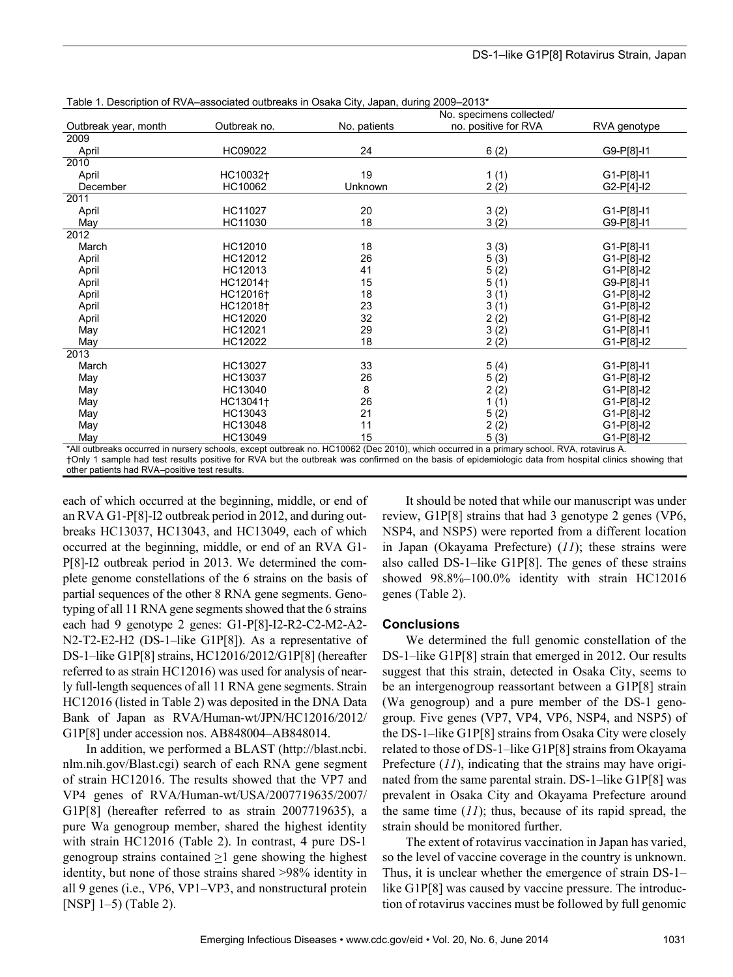|                      |                      |              | No. specimens collected/ |              |  |  |  |
|----------------------|----------------------|--------------|--------------------------|--------------|--|--|--|
| Outbreak year, month | Outbreak no.         | No. patients | no. positive for RVA     | RVA genotype |  |  |  |
| 2009                 |                      |              |                          |              |  |  |  |
| April                | HC09022              | 24           | 6(2)                     | G9-P[8]-I1   |  |  |  |
| 2010                 |                      |              |                          |              |  |  |  |
| April                | HC10032 <sup>+</sup> | 19           | 1(1)                     | G1-P[8]-I1   |  |  |  |
| December             | HC10062              | Unknown      | 2(2)                     | G2-P[4]-I2   |  |  |  |
| 2011                 |                      |              |                          |              |  |  |  |
| April                | HC11027              | 20           | 3(2)                     | $G1-P[8]-11$ |  |  |  |
| May                  | HC11030              | 18           | 3(2)                     | G9-P[8]-I1   |  |  |  |
| 2012                 |                      |              |                          |              |  |  |  |
| March                | HC12010              | 18           | 3(3)                     | $G1-P[8]-11$ |  |  |  |
| April                | HC12012              | 26           | 5(3)                     | G1-P[8]-I2   |  |  |  |
| April                | HC12013              | 41           | 5(2)                     | G1-P[8]-I2   |  |  |  |
| April                | HC12014 <sup>+</sup> | 15           | 5(1)                     | G9-P[8]-I1   |  |  |  |
| April                | HC12016 <sup>+</sup> | 18           | 3(1)                     | G1-P[8]-I2   |  |  |  |
| April                | HC12018 <sup>+</sup> | 23           | 3(1)                     | G1-P[8]-I2   |  |  |  |
| April                | HC12020              | 32           | 2(2)                     | G1-P[8]-I2   |  |  |  |
| May                  | HC12021              | 29           | 3(2)                     | G1-P[8]-I1   |  |  |  |
| May                  | HC12022              | 18           | 2(2)                     | G1-P[8]-I2   |  |  |  |
| 2013                 |                      |              |                          |              |  |  |  |
| March                | HC13027              | 33           | 5(4)                     | G1-P[8]-I1   |  |  |  |
| May                  | HC13037              | 26           | 5(2)                     | $G1-P[8]-12$ |  |  |  |
| May                  | HC13040              | 8            | 2(2)                     | G1-P[8]-I2   |  |  |  |
| May                  | HC13041 <sup>+</sup> | 26           | 1(1)                     | G1-P[8]-I2   |  |  |  |
| May                  | HC13043              | 21           | 5(2)                     | G1-P[8]-I2   |  |  |  |
| May                  | HC13048              | 11           | 2(2)                     | G1-P[8]-I2   |  |  |  |
| May                  | HC13049              | 15           | 5(3)                     | G1-P[8]-I2   |  |  |  |

Table 1. Description of RVA–associated outbreaks in Osaka City, Japan, during 2009–2013\*

\*All outbreaks occurred in nursery schools, except outbreak no. HC10062 (Dec 2010), which occurred in a primary school. RVA, rotavirus A. †Only 1 sample had test results positive for RVA but the outbreak was confirmed on the basis of epidemiologic data from hospital clinics showing that other patients had RVA–positive test results.

each of which occurred at the beginning, middle, or end of an RVA G1-P[8]-I2 outbreak period in 2012, and during outbreaks HC13037, HC13043, and HC13049, each of which occurred at the beginning, middle, or end of an RVA G1- P[8]-I2 outbreak period in 2013. We determined the complete genome constellations of the 6 strains on the basis of partial sequences of the other 8 RNA gene segments. Genotyping of all 11 RNA gene segments showed that the 6 strains each had 9 genotype 2 genes: G1-P[8]-I2-R2-C2-M2-A2- N2-T2-E2-H2 (DS-1–like G1P[8]). As a representative of DS-1–like G1P[8] strains, HC12016/2012/G1P[8] (hereafter referred to as strain HC12016) was used for analysis of nearly full-length sequences of all 11 RNA gene segments. Strain HC12016 (listed in Table 2) was deposited in the DNA Data Bank of Japan as RVA/Human-wt/JPN/HC12016/2012/ G1P[8] under accession nos. AB848004–AB848014.

In addition, we performed a BLAST (http://blast.ncbi. nlm.nih.gov/Blast.cgi) search of each RNA gene segment of strain HC12016. The results showed that the VP7 and VP4 genes of RVA/Human-wt/USA/2007719635/2007/ G1P[8] (hereafter referred to as strain 2007719635), a pure Wa genogroup member, shared the highest identity with strain HC12016 (Table 2). In contrast, 4 pure DS-1 genogroup strains contained  $\geq 1$  gene showing the highest identity, but none of those strains shared >98% identity in all 9 genes (i.e., VP6, VP1–VP3, and nonstructural protein [NSP] 1–5) (Table 2).

It should be noted that while our manuscript was under review, G1P[8] strains that had 3 genotype 2 genes (VP6, NSP4, and NSP5) were reported from a different location in Japan (Okayama Prefecture) (*11*); these strains were also called DS-1–like G1P[8]. The genes of these strains showed 98.8%–100.0% identity with strain HC12016 genes (Table 2).

## **Conclusions**

We determined the full genomic constellation of the DS-1–like G1P[8] strain that emerged in 2012. Our results suggest that this strain, detected in Osaka City, seems to be an intergenogroup reassortant between a G1P[8] strain (Wa genogroup) and a pure member of the DS-1 genogroup. Five genes (VP7, VP4, VP6, NSP4, and NSP5) of the DS-1–like G1P[8] strains from Osaka City were closely related to those of DS-1–like G1P[8] strains from Okayama Prefecture (*11*), indicating that the strains may have originated from the same parental strain. DS-1–like G1P[8] was prevalent in Osaka City and Okayama Prefecture around the same time (*11*); thus, because of its rapid spread, the strain should be monitored further.

The extent of rotavirus vaccination in Japan has varied, so the level of vaccine coverage in the country is unknown. Thus, it is unclear whether the emergence of strain DS-1– like G1P[8] was caused by vaccine pressure. The introduction of rotavirus vaccines must be followed by full genomic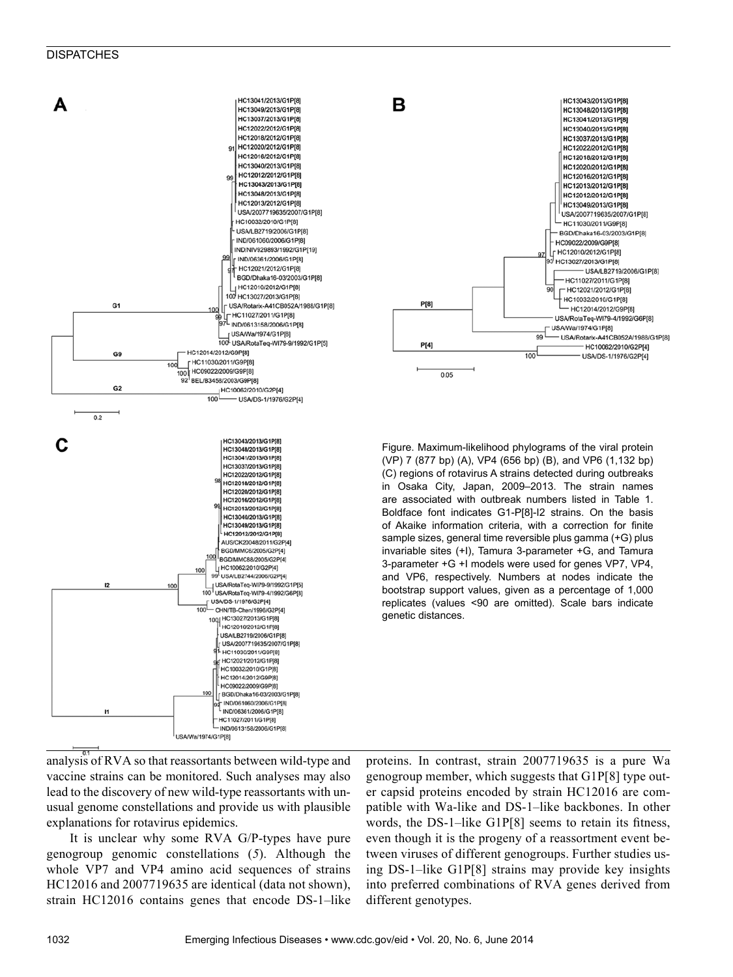### **DISPATCHES**





Figure. Maximum-likelihood phylograms of the viral protein (VP) 7 (877 bp) (A), VP4 (656 bp) (B), and VP6 (1,132 bp) (C) regions of rotavirus A strains detected during outbreaks in Osaka City, Japan, 2009–2013. The strain names are associated with outbreak numbers listed in Table 1. Boldface font indicates G1-P[8]-I2 strains. On the basis of Akaike information criteria, with a correction for finite sample sizes, general time reversible plus gamma (+G) plus invariable sites (+I), Tamura 3-parameter +G, and Tamura 3-parameter +G +I models were used for genes VP7, VP4, and VP6, respectively. Numbers at nodes indicate the bootstrap support values, given as a percentage of 1,000 replicates (values <90 are omitted). Scale bars indicate genetic distances.

analysis of RVA so that reassortants between wild-type and vaccine strains can be monitored. Such analyses may also lead to the discovery of new wild-type reassortants with unusual genome constellations and provide us with plausible explanations for rotavirus epidemics.

It is unclear why some RVA G/P-types have pure genogroup genomic constellations (*5*). Although the whole VP7 and VP4 amino acid sequences of strains HC12016 and 2007719635 are identical (data not shown), strain HC12016 contains genes that encode DS-1–like proteins. In contrast, strain 2007719635 is a pure Wa genogroup member, which suggests that G1P[8] type outer capsid proteins encoded by strain HC12016 are compatible with Wa-like and DS-1–like backbones. In other words, the DS-1–like G1P[8] seems to retain its fitness, even though it is the progeny of a reassortment event between viruses of different genogroups. Further studies using DS-1–like G1P[8] strains may provide key insights into preferred combinations of RVA genes derived from different genotypes.